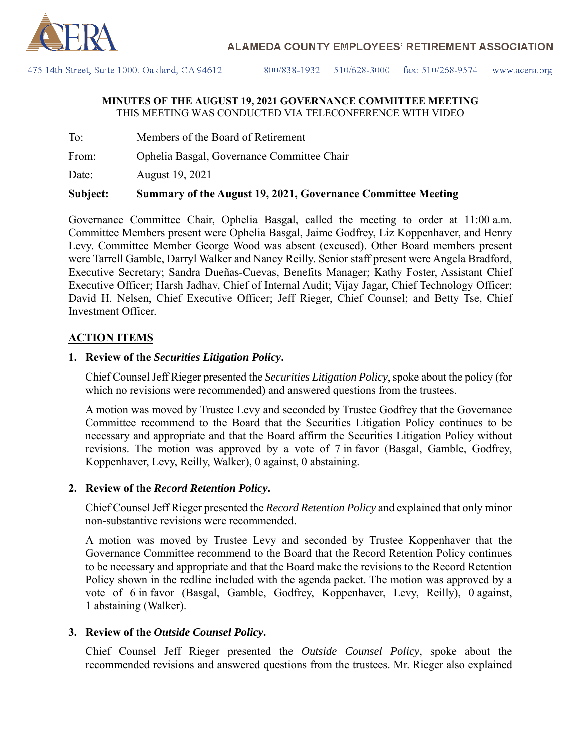

475 14th Street, Suite 1000, Oakland, CA 94612

800/838-1932 510/628-3000 fax:  $510/268-9574$ www.acera.org

#### **MINUTES OF THE AUGUST 19, 2021 GOVERNANCE COMMITTEE MEETING** THIS MEETING WAS CONDUCTED VIA TELECONFERENCE WITH VIDEO

To: Members of the Board of Retirement

From: Ophelia Basgal, Governance Committee Chair

Date: August 19, 2021

### **Subject: Summary of the August 19, 2021, Governance Committee Meeting**

Governance Committee Chair, Ophelia Basgal, called the meeting to order at 11:00 a.m. Committee Members present were Ophelia Basgal, Jaime Godfrey, Liz Koppenhaver, and Henry Levy. Committee Member George Wood was absent (excused). Other Board members present were Tarrell Gamble, Darryl Walker and Nancy Reilly. Senior staff present were Angela Bradford, Executive Secretary; Sandra Dueñas-Cuevas, Benefits Manager; Kathy Foster, Assistant Chief Executive Officer; Harsh Jadhav, Chief of Internal Audit; Vijay Jagar, Chief Technology Officer; David H. Nelsen, Chief Executive Officer; Jeff Rieger, Chief Counsel; and Betty Tse, Chief Investment Officer.

## **ACTION ITEMS**

## **1. Review of the** *Securities Litigation Policy***.**

Chief Counsel Jeff Rieger presented the *Securities Litigation Policy*, spoke about the policy (for which no revisions were recommended) and answered questions from the trustees.

A motion was moved by Trustee Levy and seconded by Trustee Godfrey that the Governance Committee recommend to the Board that the Securities Litigation Policy continues to be necessary and appropriate and that the Board affirm the Securities Litigation Policy without revisions. The motion was approved by a vote of 7 in favor (Basgal, Gamble, Godfrey, Koppenhaver, Levy, Reilly, Walker), 0 against, 0 abstaining.

## **2. Review of the** *Record Retention Policy***.**

Chief Counsel Jeff Rieger presented the *Record Retention Policy* and explained that only minor non-substantive revisions were recommended.

A motion was moved by Trustee Levy and seconded by Trustee Koppenhaver that the Governance Committee recommend to the Board that the Record Retention Policy continues to be necessary and appropriate and that the Board make the revisions to the Record Retention Policy shown in the redline included with the agenda packet. The motion was approved by a vote of 6 in favor (Basgal, Gamble, Godfrey, Koppenhaver, Levy, Reilly), 0 against, 1 abstaining (Walker).

## **3. Review of the** *Outside Counsel Policy***.**

Chief Counsel Jeff Rieger presented the *Outside Counsel Policy*, spoke about the recommended revisions and answered questions from the trustees. Mr. Rieger also explained